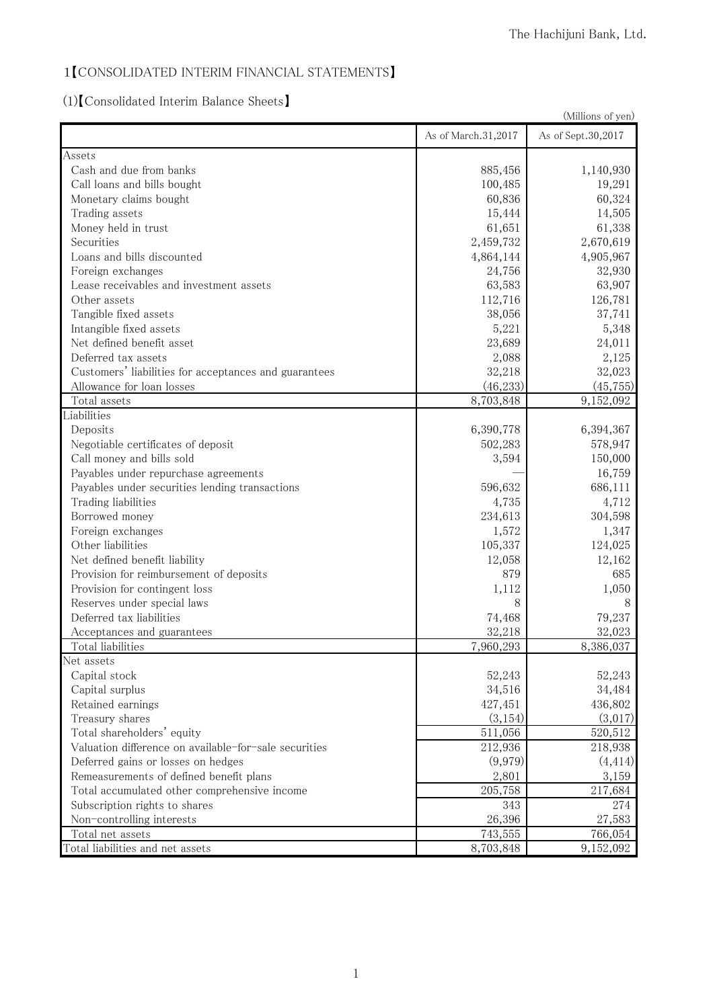### 1【CONSOLIDATED INTERIM FINANCIAL STATEMENTS】

## (1)【Consolidated Interim Balance Sheets】

|                                                       | (Millions of yen)   |                    |
|-------------------------------------------------------|---------------------|--------------------|
|                                                       | As of March.31,2017 | As of Sept.30,2017 |
| Assets                                                |                     |                    |
| Cash and due from banks                               | 885,456             | 1,140,930          |
| Call loans and bills bought                           | 100,485             | 19,291             |
| Monetary claims bought                                | 60,836              | 60,324             |
| Trading assets                                        | 15,444              | 14,505             |
| Money held in trust                                   | 61,651              | 61,338             |
| Securities                                            | 2,459,732           | 2,670,619          |
| Loans and bills discounted                            | 4,864,144           | 4,905,967          |
| Foreign exchanges                                     | 24,756              | 32,930             |
| Lease receivables and investment assets               | 63,583              | 63,907             |
| Other assets                                          | 112,716             | 126,781            |
| Tangible fixed assets                                 | 38,056              | 37,741             |
| Intangible fixed assets                               | 5,221               | 5,348              |
| Net defined benefit asset                             | 23,689              | 24,011             |
| Deferred tax assets                                   | 2,088               | 2,125              |
| Customers' liabilities for acceptances and guarantees | 32,218              | 32,023             |
| Allowance for loan losses                             | (46, 233)           | (45, 755)          |
| Total assets                                          | 8,703,848           | 9,152,092          |
| Liabilities                                           |                     |                    |
| Deposits                                              | 6,390,778           | 6,394,367          |
| Negotiable certificates of deposit                    | 502,283             | 578,947            |
| Call money and bills sold                             | 3,594               | 150,000            |
| Payables under repurchase agreements                  |                     | 16,759             |
| Payables under securities lending transactions        | 596,632             | 686,111            |
| Trading liabilities                                   | 4,735               | 4,712              |
| Borrowed money                                        | 234,613             | 304,598            |
| Foreign exchanges                                     | 1,572               | 1,347              |
| Other liabilities                                     | 105,337             | 124,025            |
| Net defined benefit liability                         | 12,058              | 12,162             |
| Provision for reimbursement of deposits               | 879                 | 685                |
| Provision for contingent loss                         | 1,112               | 1,050              |
| Reserves under special laws                           | 8                   | 8                  |
| Deferred tax liabilities                              | 74,468              | 79,237             |
| Acceptances and guarantees                            | 32,218              | 32,023             |
| Total liabilities                                     | 7,960,293           | 8,386,037          |
| Net assets                                            |                     |                    |
| Capital stock                                         | 52,243              | 52,243             |
| Capital surplus                                       | 34,516              | 34,484             |
| Retained earnings                                     | 427,451             | 436,802            |
| Treasury shares                                       | (3, 154)            | (3,017)            |
| Total shareholders' equity                            | 511,056             | 520,512            |
| Valuation difference on available-for-sale securities | 212,936             | 218,938            |
| Deferred gains or losses on hedges                    | (9,979)             | (4, 414)           |
| Remeasurements of defined benefit plans               | 2,801               | 3,159              |
| Total accumulated other comprehensive income          | 205,758             | 217,684            |
| Subscription rights to shares                         | 343                 | 274                |
| Non-controlling interests                             | 26,396              | 27,583             |
| Total net assets                                      | 743,555             | 766,054            |
| Total liabilities and net assets                      | 8,703,848           | 9,152,092          |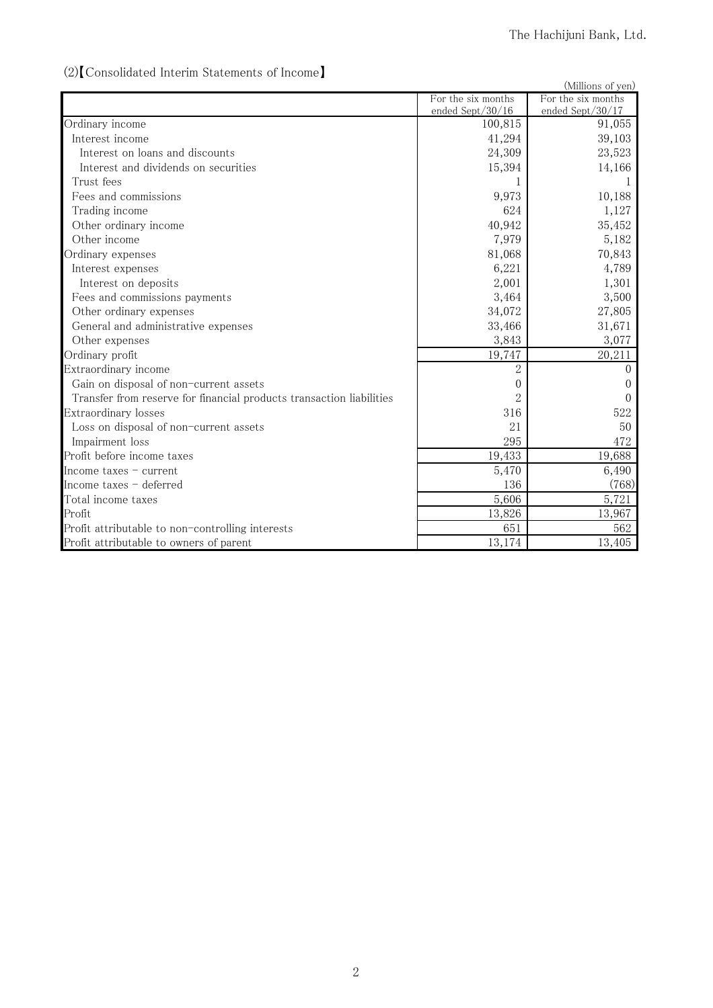### (2)【Consolidated Interim Statements of Income】

| (2) Consolidated lifterilli statements of income                     |                    | (Millions of yen)  |
|----------------------------------------------------------------------|--------------------|--------------------|
|                                                                      | For the six months | For the six months |
|                                                                      | ended Sept/30/16   | ended Sept/30/17   |
| Ordinary income                                                      | 100,815            | 91,055             |
| Interest income                                                      | 41,294             | 39,103             |
| Interest on loans and discounts                                      | 24,309             | 23,523             |
| Interest and dividends on securities                                 | 15,394             | 14,166             |
| Trust fees                                                           |                    |                    |
| Fees and commissions                                                 | 9,973              | 10,188             |
| Trading income                                                       | 624                | 1,127              |
| Other ordinary income                                                | 40,942             | 35,452             |
| Other income                                                         | 7,979              | 5,182              |
| Ordinary expenses                                                    | 81,068             | 70,843             |
| Interest expenses                                                    | 6,221              | 4,789              |
| Interest on deposits                                                 | 2,001              | 1,301              |
| Fees and commissions payments                                        | 3,464              | 3,500              |
| Other ordinary expenses                                              | 34,072             | 27,805             |
| General and administrative expenses                                  | 33,466             | 31,671             |
| Other expenses                                                       | 3,843              | 3,077              |
| Ordinary profit                                                      | 19,747             | 20,211             |
| Extraordinary income                                                 | $\overline{2}$     | $\left( \right)$   |
| Gain on disposal of non-current assets                               | 0                  | $\theta$           |
| Transfer from reserve for financial products transaction liabilities | $\overline{2}$     | 0                  |
| Extraordinary losses                                                 | 316                | 522                |
| Loss on disposal of non-current assets                               | 21                 | 50                 |
| Impairment loss                                                      | 295                | 472                |
| Profit before income taxes                                           | 19,433             | 19,688             |
| Income taxes $-$ current                                             | 5,470              | 6,490              |
| Income taxes - deferred                                              | 136                | (768)              |
| Total income taxes                                                   | 5,606              | 5,721              |
| Profit                                                               | 13,826             | 13,967             |
| Profit attributable to non-controlling interests                     | 651                | 562                |
| Profit attributable to owners of parent                              | 13,174             | 13,405             |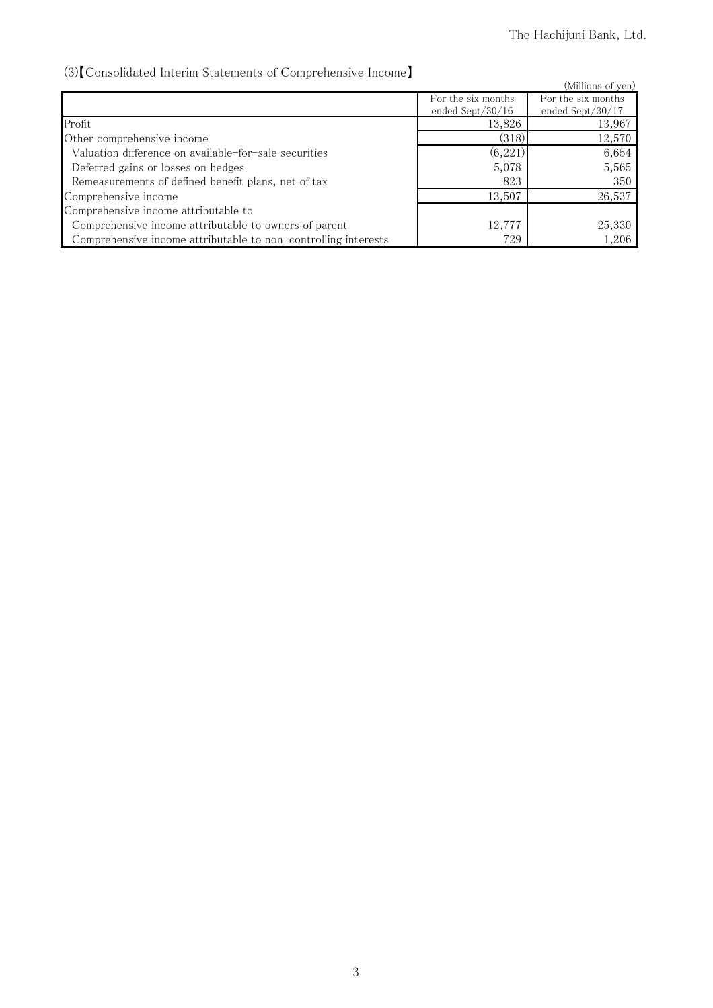### (3)【Consolidated Interim Statements of Comprehensive Income】

| von Consonuated meeting platements of Comprendition Cheome     |                     |                     |
|----------------------------------------------------------------|---------------------|---------------------|
|                                                                |                     | (Millions of yen)   |
|                                                                | For the six months  | For the six months  |
|                                                                | ended Sept $/30/16$ | ended Sept $/30/17$ |
| Profit                                                         | 13,826              | 13,967              |
| Other comprehensive income                                     | (318)               | 12,570              |
| Valuation difference on available-for-sale securities          | (6,221)             | 6,654               |
| Deferred gains or losses on hedges                             | 5,078               | 5,565               |
| Remeasurements of defined benefit plans, net of tax            | 823                 | 350                 |
| Comprehensive income                                           | 13,507              | 26,537              |
| Comprehensive income attributable to                           |                     |                     |
| Comprehensive income attributable to owners of parent          | 12,777              | 25,330              |
| Comprehensive income attributable to non-controlling interests | 729                 | 1,206               |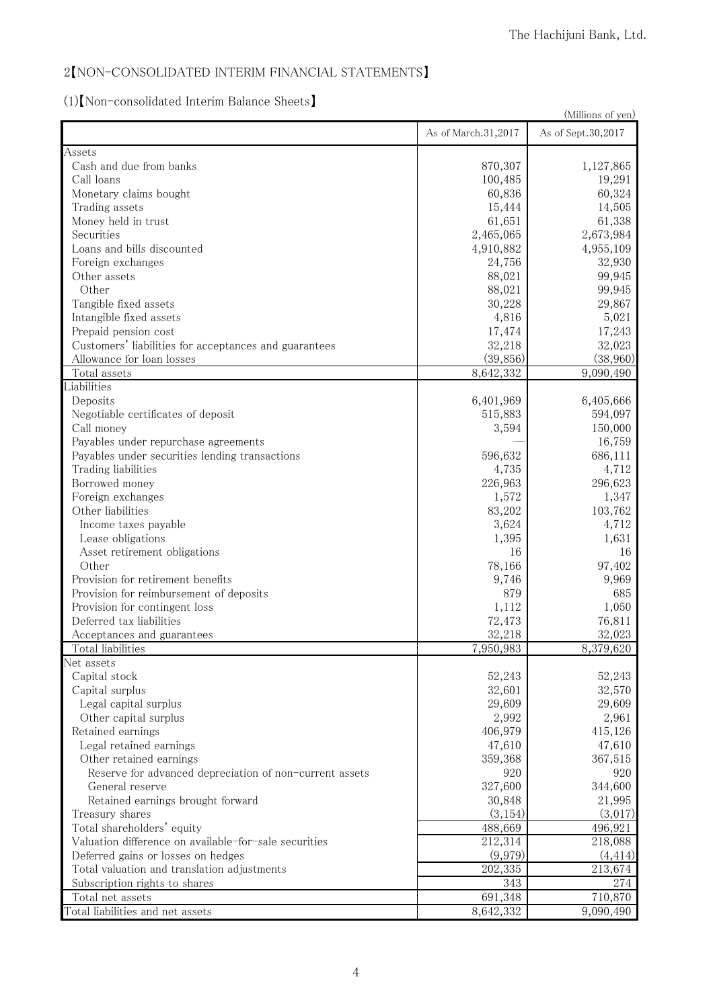#### 2【NON-CONSOLIDATED INTERIM FINANCIAL STATEMENTS】

# (1)【Non-consolidated Interim Balance Sheets】

| \17\\1\011 \COHSOH\\attCu HItCHIHI DalaHCC OHCCtS                                      |                     | (Millions of yen)  |
|----------------------------------------------------------------------------------------|---------------------|--------------------|
|                                                                                        | As of March.31,2017 | As of Sept.30,2017 |
| Assets                                                                                 |                     |                    |
| Cash and due from banks                                                                | 870,307             | 1,127,865          |
| Call loans                                                                             | 100,485             | 19,291             |
| Monetary claims bought                                                                 | 60,836              | 60,324             |
| Trading assets                                                                         | 15,444              | 14,505             |
| Money held in trust                                                                    | 61,651              | 61,338             |
| Securities                                                                             | 2,465,065           | 2,673,984          |
| Loans and bills discounted                                                             | 4,910,882           | 4,955,109          |
| Foreign exchanges                                                                      | 24,756              | 32,930             |
| Other assets                                                                           | 88,021              | 99,945             |
| Other                                                                                  | 88,021              | 99,945             |
| Tangible fixed assets                                                                  | 30,228              | 29,867             |
| Intangible fixed assets                                                                | 4,816               | 5,021              |
| Prepaid pension cost                                                                   | 17,474              | 17,243             |
| Customers' liabilities for acceptances and guarantees                                  | 32,218              | 32,023             |
| Allowance for loan losses                                                              | (39, 856)           | (38,960)           |
| Total assets                                                                           | 8,642,332           | 9,090,490          |
| Liabilities                                                                            |                     |                    |
| Deposits                                                                               | 6,401,969           | 6,405,666          |
| Negotiable certificates of deposit                                                     | 515,883             | 594,097            |
| Call money                                                                             | 3,594               | 150,000            |
| Payables under repurchase agreements<br>Payables under securities lending transactions | 596,632             | 16,759<br>686,111  |
| Trading liabilities                                                                    | 4,735               | 4,712              |
| Borrowed money                                                                         | 226,963             | 296,623            |
| Foreign exchanges                                                                      | 1,572               | 1,347              |
| Other liabilities                                                                      | 83,202              | 103,762            |
| Income taxes payable                                                                   | 3,624               | 4,712              |
| Lease obligations                                                                      | 1,395               | 1,631              |
| Asset retirement obligations                                                           | 16                  | 16                 |
| Other                                                                                  | 78,166              | 97,402             |
| Provision for retirement benefits                                                      | 9,746               | 9,969              |
| Provision for reimbursement of deposits                                                | 879                 | 685                |
| Provision for contingent loss                                                          | 1,112               | 1,050              |
| Deferred tax liabilities                                                               | 72,473              | 76,811             |
| Acceptances and guarantees                                                             | 32,218              | 32,023             |
| Total liabilities                                                                      | 7,950,983           | 8,379,620          |
| Net assets                                                                             |                     |                    |
| Capital stock                                                                          | 52,243              | 52,243             |
| Capital surplus                                                                        | 32,601              | 32,570             |
| Legal capital surplus                                                                  | 29,609              | 29,609             |
| Other capital surplus                                                                  | 2,992               | 2,961              |
| Retained earnings                                                                      | 406,979             | 415,126            |
| Legal retained earnings                                                                | 47,610              | 47,610             |
| Other retained earnings                                                                | 359,368             | 367,515            |
| Reserve for advanced depreciation of non-current assets                                | 920                 | 920                |
| General reserve                                                                        | 327,600             | 344,600            |
| Retained earnings brought forward                                                      | 30,848              | 21,995             |
| Treasury shares                                                                        | (3, 154)            | (3,017)            |
| Total shareholders' equity                                                             | 488,669             | 496,921            |
| Valuation difference on available-for-sale securities                                  | 212,314             | 218,088            |
| Deferred gains or losses on hedges                                                     | (9,979)             | (4, 414)           |
| Total valuation and translation adjustments                                            | 202,335             | 213,674            |
| Subscription rights to shares                                                          | 343                 | 274                |
| Total net assets                                                                       | 691,348             | 710,870            |
| Total liabilities and net assets                                                       | 8,642,332           | 9,090,490          |